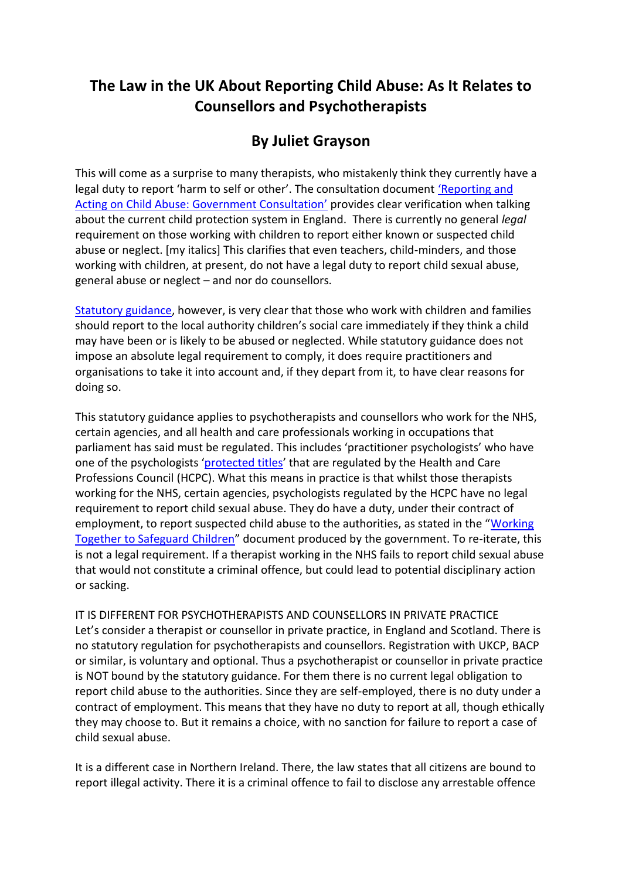## **The Law in the UK About Reporting Child Abuse: As It Relates to Counsellors and Psychotherapists**

## **By Juliet Grayson**

This will come as a surprise to many therapists, who mistakenly think they currently have a legal duty to report 'harm to self or other'. The consultation document ['Reporting and](https://www.gov.uk/government/uploads/system/uploads/attachment_data/file/539618/Impact_Assessment_-_Consultation_Stage__web_.pdf)  [Acting on Child Abuse: Government Consultation'](https://www.gov.uk/government/uploads/system/uploads/attachment_data/file/539618/Impact_Assessment_-_Consultation_Stage__web_.pdf) provides clear verification when talking about the current child protection system in England. There is currently no general *legal* requirement on those working with children to report either known or suspected child abuse or neglect. [my italics] This clarifies that even teachers, child-minders, and those working with children, at present, do not have a legal duty to report child sexual abuse, general abuse or neglect – and nor do counsellors.

[Statutory guidance,](https://www.gov.uk/government/publications/working-together-to-safeguard-children–2) however, is very clear that those who work with children and families should report to the local authority children's social care immediately if they think a child may have been or is likely to be abused or neglected. While statutory guidance does not impose an absolute legal requirement to comply, it does require practitioners and organisations to take it into account and, if they depart from it, to have clear reasons for doing so.

This statutory guidance applies to psychotherapists and counsellors who work for the NHS, certain agencies, and all health and care professionals working in occupations that parliament has said must be regulated. This includes 'practitioner psychologists' who have one of the psychologists '[protected titles](http://www.hcpc-uk.org/aboutregistration/professions/index.asp?id=14#profDetails)' that are regulated by the Health and Care Professions Council (HCPC). What this means in practice is that whilst those therapists working for the NHS, certain agencies, psychologists regulated by the HCPC have no legal requirement to report child sexual abuse. They do have a duty, under their contract of employment, to report suspected child abuse to the authorities, as stated in the "[Working](https://www.gov.uk/government/publications/working-together-to-safeguard-children–2)  [Together to Safeguard Children](https://www.gov.uk/government/publications/working-together-to-safeguard-children–2)" document produced by the government. To re-iterate, this is not a legal requirement. If a therapist working in the NHS fails to report child sexual abuse that would not constitute a criminal offence, but could lead to potential disciplinary action or sacking.

IT IS DIFFERENT FOR PSYCHOTHERAPISTS AND COUNSELLORS IN PRIVATE PRACTICE Let's consider a therapist or counsellor in private practice, in England and Scotland. There is no statutory regulation for psychotherapists and counsellors. Registration with UKCP, BACP or similar, is voluntary and optional. Thus a psychotherapist or counsellor in private practice is NOT bound by the statutory guidance. For them there is no current legal obligation to report child abuse to the authorities. Since they are self-employed, there is no duty under a contract of employment. This means that they have no duty to report at all, though ethically they may choose to. But it remains a choice, with no sanction for failure to report a case of child sexual abuse.

It is a different case in Northern Ireland. There, the law states that all citizens are bound to report illegal activity. There it is a criminal offence to fail to disclose any arrestable offence